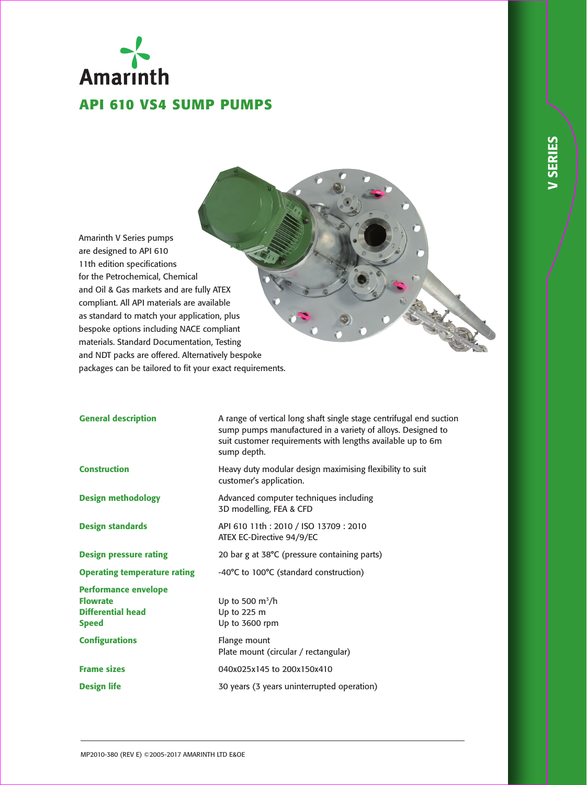# Amarinth **API 610 VS4 SUMP PUMPS**

Amarinth V Series pumps are designed to API 610 11th edition specifications for the Petrochemical, Chemical and Oil & Gas markets and are fully ATEX compliant. All API materials are available as standard to match your application, plus bespoke options including NACE compliant materials. Standard Documentation, Testing and NDT packs are offered. Alternatively bespoke packages can be tailored to fit your exact requirements.

| <b>General description</b>                                                                 | A range of vertical long shaft single stage centrifugal end suction<br>sump pumps manufactured in a variety of alloys. Designed to<br>suit customer requirements with lengths available up to 6m<br>sump depth. |  |
|--------------------------------------------------------------------------------------------|-----------------------------------------------------------------------------------------------------------------------------------------------------------------------------------------------------------------|--|
| <b>Construction</b>                                                                        | Heavy duty modular design maximising flexibility to suit<br>customer's application.                                                                                                                             |  |
| <b>Design methodology</b>                                                                  | Advanced computer techniques including<br>3D modelling, FEA & CFD                                                                                                                                               |  |
| <b>Design standards</b>                                                                    | API 610 11th: 2010 / ISO 13709: 2010<br>ATEX EC-Directive 94/9/EC                                                                                                                                               |  |
| <b>Design pressure rating</b>                                                              | 20 bar g at 38°C (pressure containing parts)                                                                                                                                                                    |  |
| <b>Operating temperature rating</b>                                                        | -40°C to 100°C (standard construction)                                                                                                                                                                          |  |
| <b>Performance envelope</b><br><b>Flowrate</b><br><b>Differential head</b><br><b>Speed</b> | Up to 500 $m^3/h$<br>Up to 225 m<br>Up to 3600 rpm                                                                                                                                                              |  |
| <b>Configurations</b>                                                                      | Flange mount<br>Plate mount (circular / rectangular)                                                                                                                                                            |  |
| <b>Frame sizes</b>                                                                         | 040x025x145 to 200x150x410                                                                                                                                                                                      |  |
| <b>Design life</b>                                                                         | 30 years (3 years uninterrupted operation)                                                                                                                                                                      |  |